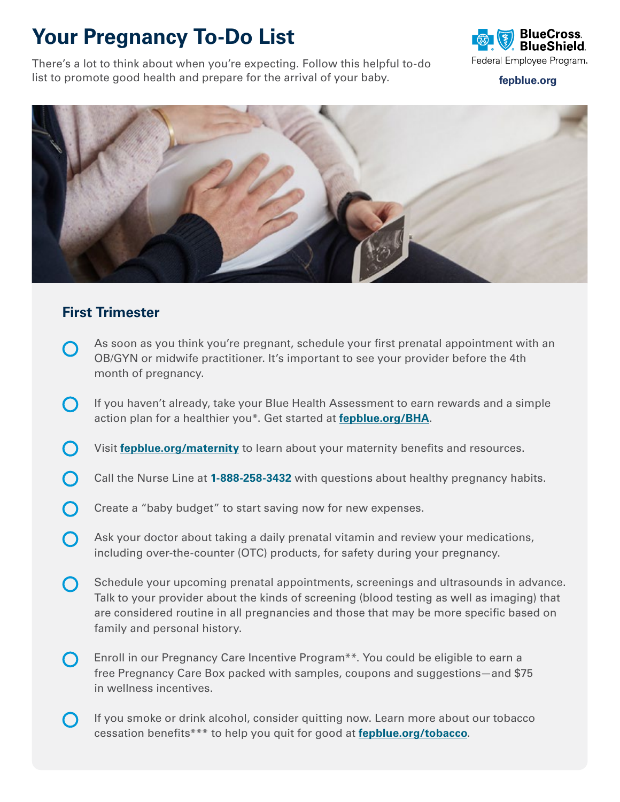## **Your Pregnancy To-Do List**

There's a lot to think about when you're expecting. Follow this helpful to-do list to promote good health and prepare for the arrival of your baby.



**[fepblue.org](http://fepblue.org)**



## **First Trimester**

- As soon as you think you're pregnant, schedule your first prenatal appointment with an  $\bigcap$ OB/GYN or midwife practitioner. It's important to see your provider before the 4th month of pregnancy.
- If you haven't already, take your Blue Health Assessment to earn rewards and a simple  $\bigcap$ action plan for a healthier you\*. Get started at **[fepblue.org/BHA](http://fepblue.org/BHA)**.
- Visit **[fepblue.org/maternity](http://fepblue.org/maternity)** to learn about your maternity benefits and resources.
- Call the Nurse Line at **1-888-258-3432** with questions about healthy pregnancy habits.
- Create a "baby budget" to start saving now for new expenses.
- $\bigcap$ Ask your doctor about taking a daily prenatal vitamin and review your medications, including over-the-counter (OTC) products, for safety during your pregnancy.
- Schedule your upcoming prenatal appointments, screenings and ultrasounds in advance.  $\bigcap$ Talk to your provider about the kinds of screening (blood testing as well as imaging) that are considered routine in all pregnancies and those that may be more specific based on family and personal history.
- Enroll in our Pregnancy Care Incentive Program\*\*. You could be eligible to earn a  $\bigcap$ free Pregnancy Care Box packed with samples, coupons and suggestions—and \$75 in wellness incentives.
- If you smoke or drink alcohol, consider quitting now. Learn more about our tobacco  $\left( \begin{array}{c} \end{array} \right)$ cessation benefits\*\*\* to help you quit for good at **[fepblue.org/tobacco](http://fepblue.org/tobacco)**.